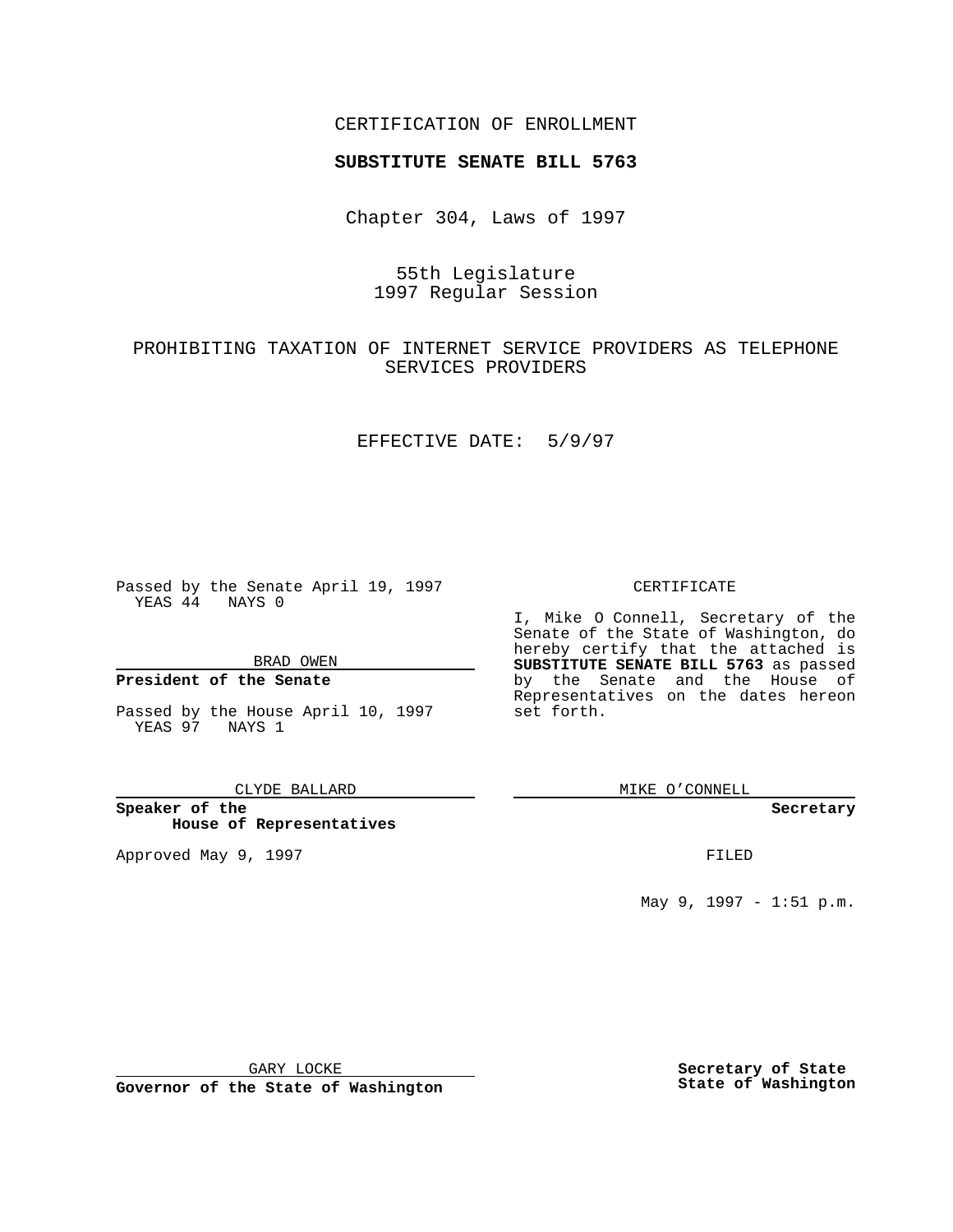## CERTIFICATION OF ENROLLMENT

# **SUBSTITUTE SENATE BILL 5763**

Chapter 304, Laws of 1997

# 55th Legislature 1997 Regular Session

# PROHIBITING TAXATION OF INTERNET SERVICE PROVIDERS AS TELEPHONE SERVICES PROVIDERS

## EFFECTIVE DATE: 5/9/97

Passed by the Senate April 19, 1997 YEAS 44 NAYS 0

BRAD OWEN

## **President of the Senate**

Passed by the House April 10, 1997 YEAS 97 NAYS 1

#### CLYDE BALLARD

**Speaker of the House of Representatives**

Approved May 9, 1997 **FILED** 

### CERTIFICATE

I, Mike O Connell, Secretary of the Senate of the State of Washington, do hereby certify that the attached is **SUBSTITUTE SENATE BILL 5763** as passed by the Senate and the House of Representatives on the dates hereon set forth.

MIKE O'CONNELL

### **Secretary**

May 9, 1997 - 1:51 p.m.

GARY LOCKE

**Governor of the State of Washington**

**Secretary of State State of Washington**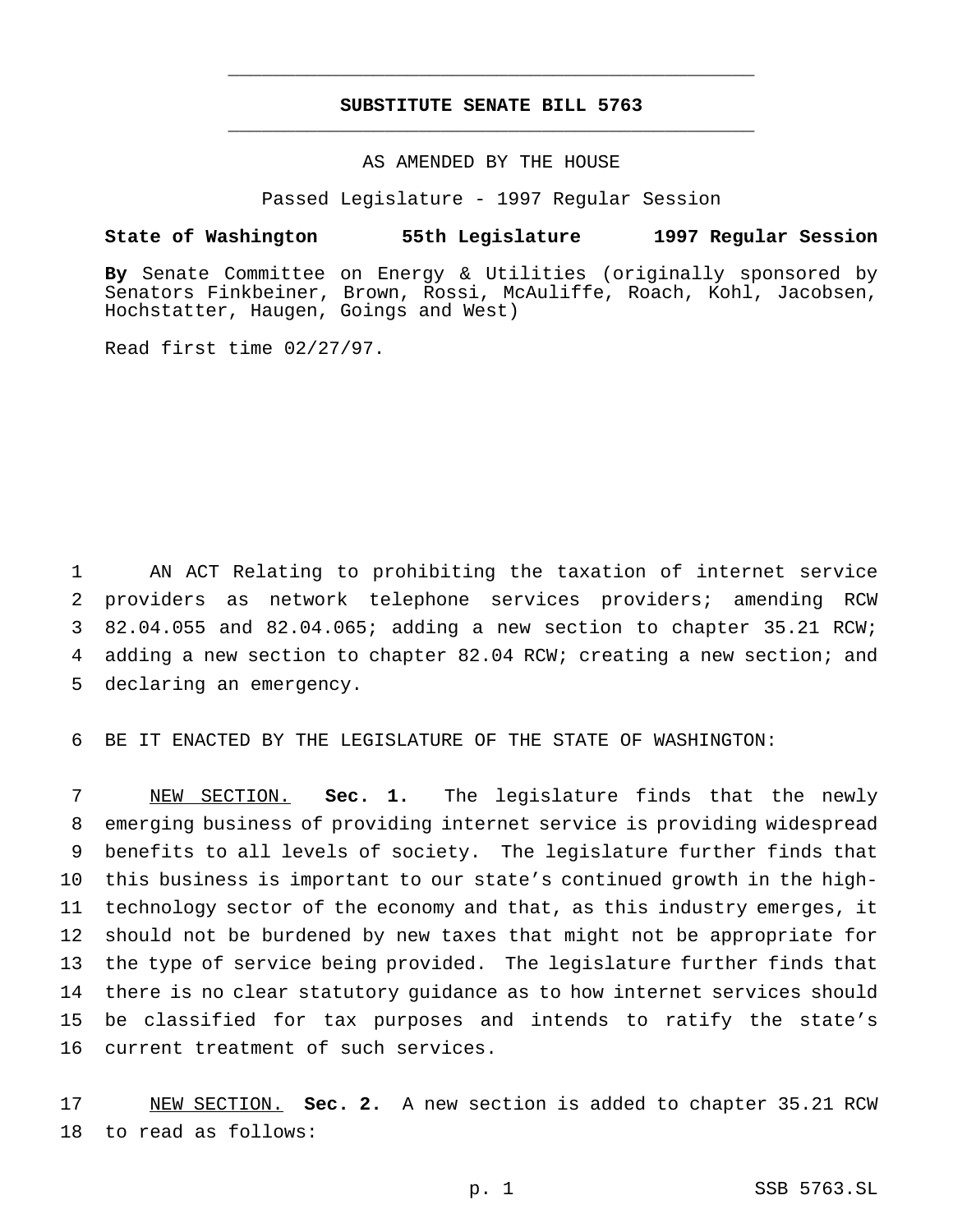## **SUBSTITUTE SENATE BILL 5763** \_\_\_\_\_\_\_\_\_\_\_\_\_\_\_\_\_\_\_\_\_\_\_\_\_\_\_\_\_\_\_\_\_\_\_\_\_\_\_\_\_\_\_\_\_\_\_

\_\_\_\_\_\_\_\_\_\_\_\_\_\_\_\_\_\_\_\_\_\_\_\_\_\_\_\_\_\_\_\_\_\_\_\_\_\_\_\_\_\_\_\_\_\_\_

## AS AMENDED BY THE HOUSE

Passed Legislature - 1997 Regular Session

### **State of Washington 55th Legislature 1997 Regular Session**

**By** Senate Committee on Energy & Utilities (originally sponsored by Senators Finkbeiner, Brown, Rossi, McAuliffe, Roach, Kohl, Jacobsen, Hochstatter, Haugen, Goings and West)

Read first time 02/27/97.

 AN ACT Relating to prohibiting the taxation of internet service providers as network telephone services providers; amending RCW 82.04.055 and 82.04.065; adding a new section to chapter 35.21 RCW; adding a new section to chapter 82.04 RCW; creating a new section; and declaring an emergency.

BE IT ENACTED BY THE LEGISLATURE OF THE STATE OF WASHINGTON:

 NEW SECTION. **Sec. 1.** The legislature finds that the newly emerging business of providing internet service is providing widespread benefits to all levels of society. The legislature further finds that this business is important to our state's continued growth in the high- technology sector of the economy and that, as this industry emerges, it should not be burdened by new taxes that might not be appropriate for the type of service being provided. The legislature further finds that there is no clear statutory guidance as to how internet services should be classified for tax purposes and intends to ratify the state's current treatment of such services.

 NEW SECTION. **Sec. 2.** A new section is added to chapter 35.21 RCW to read as follows: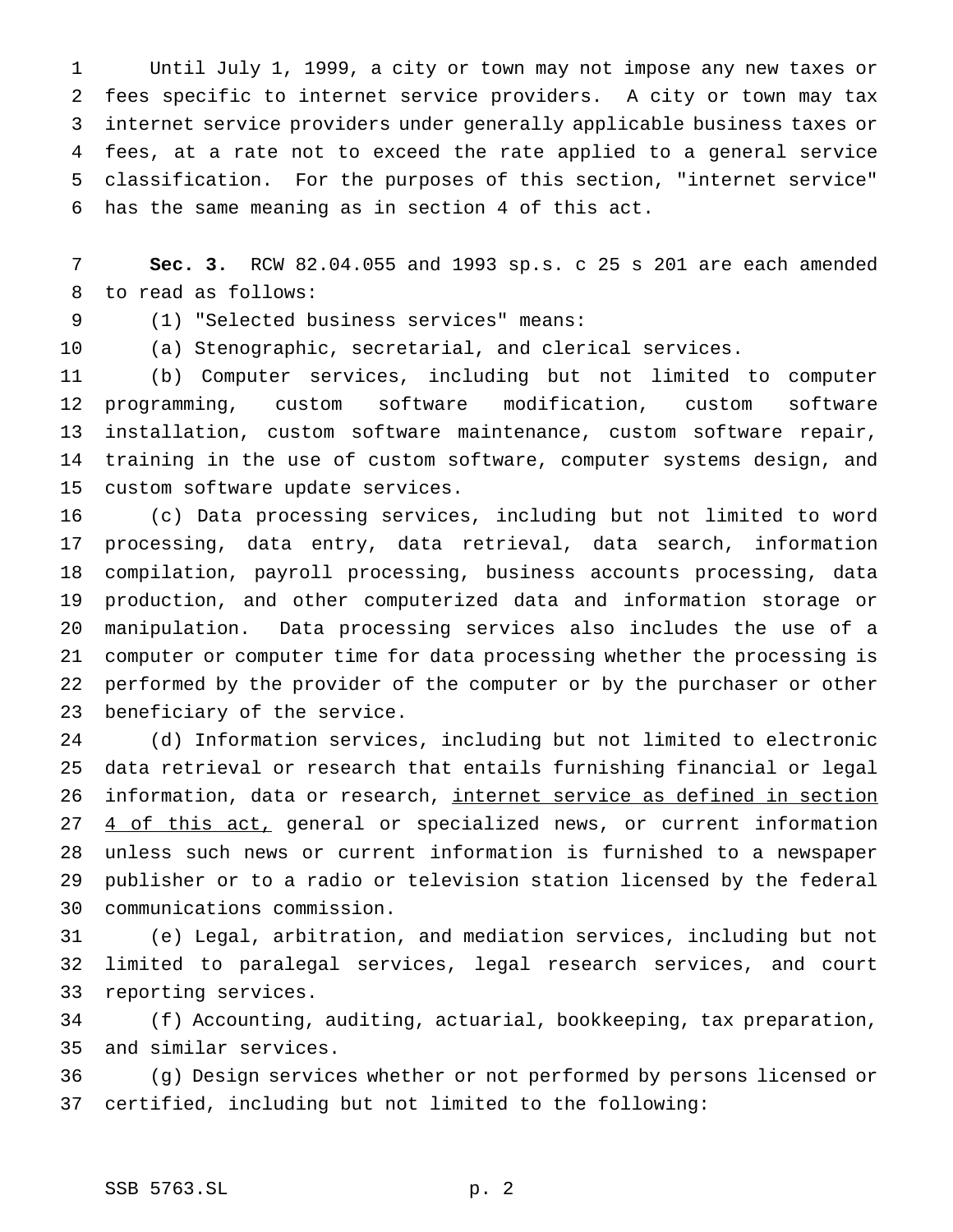Until July 1, 1999, a city or town may not impose any new taxes or fees specific to internet service providers. A city or town may tax internet service providers under generally applicable business taxes or fees, at a rate not to exceed the rate applied to a general service classification. For the purposes of this section, "internet service" has the same meaning as in section 4 of this act.

 **Sec. 3.** RCW 82.04.055 and 1993 sp.s. c 25 s 201 are each amended to read as follows:

(1) "Selected business services" means:

(a) Stenographic, secretarial, and clerical services.

 (b) Computer services, including but not limited to computer programming, custom software modification, custom software installation, custom software maintenance, custom software repair, training in the use of custom software, computer systems design, and custom software update services.

 (c) Data processing services, including but not limited to word processing, data entry, data retrieval, data search, information compilation, payroll processing, business accounts processing, data production, and other computerized data and information storage or manipulation. Data processing services also includes the use of a computer or computer time for data processing whether the processing is performed by the provider of the computer or by the purchaser or other beneficiary of the service.

 (d) Information services, including but not limited to electronic data retrieval or research that entails furnishing financial or legal information, data or research, internet service as defined in section 27 4 of this act, general or specialized news, or current information unless such news or current information is furnished to a newspaper publisher or to a radio or television station licensed by the federal communications commission.

 (e) Legal, arbitration, and mediation services, including but not limited to paralegal services, legal research services, and court reporting services.

 (f) Accounting, auditing, actuarial, bookkeeping, tax preparation, and similar services.

 (g) Design services whether or not performed by persons licensed or certified, including but not limited to the following: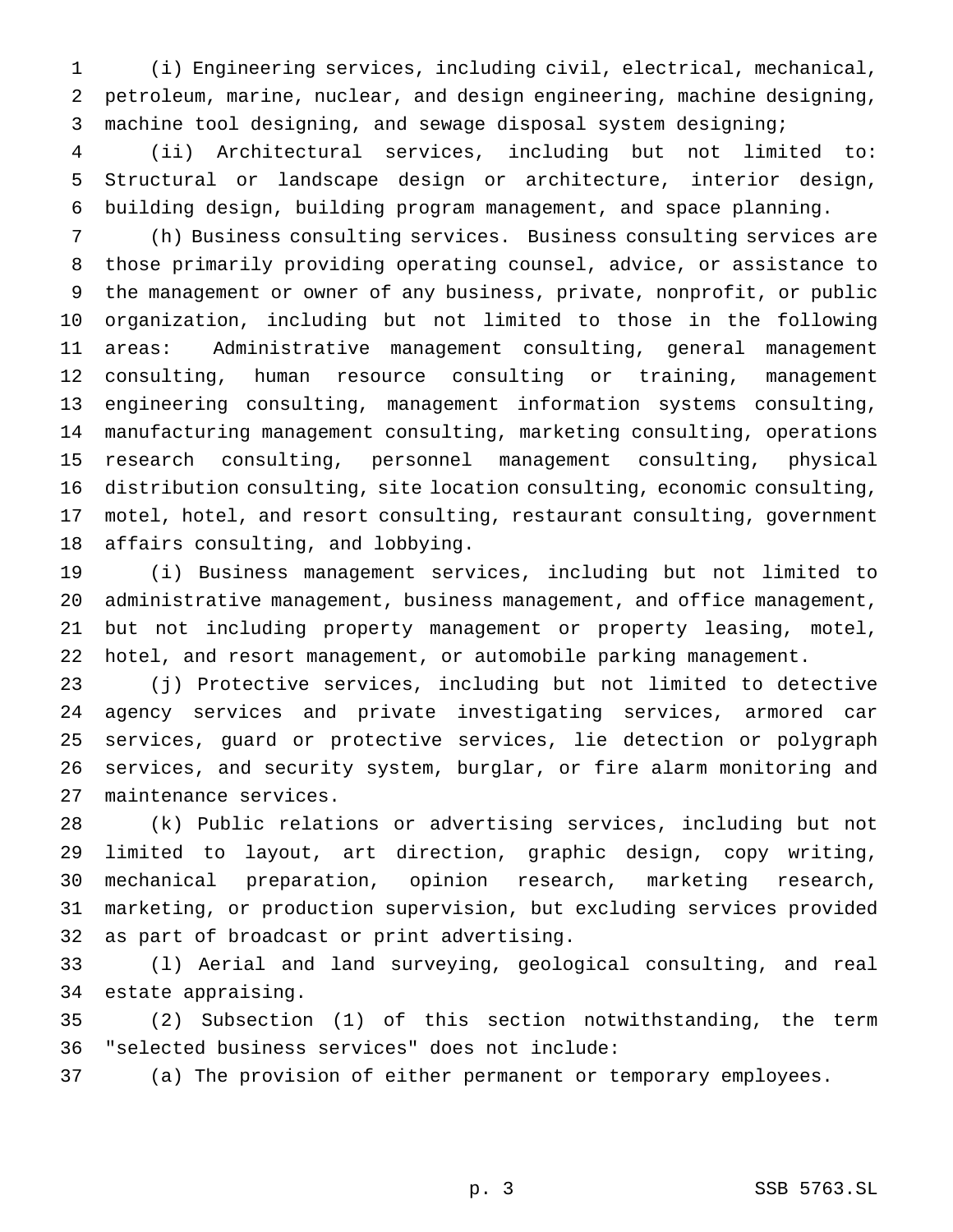(i) Engineering services, including civil, electrical, mechanical, petroleum, marine, nuclear, and design engineering, machine designing, machine tool designing, and sewage disposal system designing;

 (ii) Architectural services, including but not limited to: Structural or landscape design or architecture, interior design, building design, building program management, and space planning.

 (h) Business consulting services. Business consulting services are those primarily providing operating counsel, advice, or assistance to the management or owner of any business, private, nonprofit, or public organization, including but not limited to those in the following areas: Administrative management consulting, general management consulting, human resource consulting or training, management engineering consulting, management information systems consulting, manufacturing management consulting, marketing consulting, operations research consulting, personnel management consulting, physical distribution consulting, site location consulting, economic consulting, motel, hotel, and resort consulting, restaurant consulting, government affairs consulting, and lobbying.

 (i) Business management services, including but not limited to administrative management, business management, and office management, but not including property management or property leasing, motel, hotel, and resort management, or automobile parking management.

 (j) Protective services, including but not limited to detective agency services and private investigating services, armored car services, guard or protective services, lie detection or polygraph services, and security system, burglar, or fire alarm monitoring and maintenance services.

 (k) Public relations or advertising services, including but not limited to layout, art direction, graphic design, copy writing, mechanical preparation, opinion research, marketing research, marketing, or production supervision, but excluding services provided as part of broadcast or print advertising.

 (l) Aerial and land surveying, geological consulting, and real estate appraising.

 (2) Subsection (1) of this section notwithstanding, the term "selected business services" does not include:

(a) The provision of either permanent or temporary employees.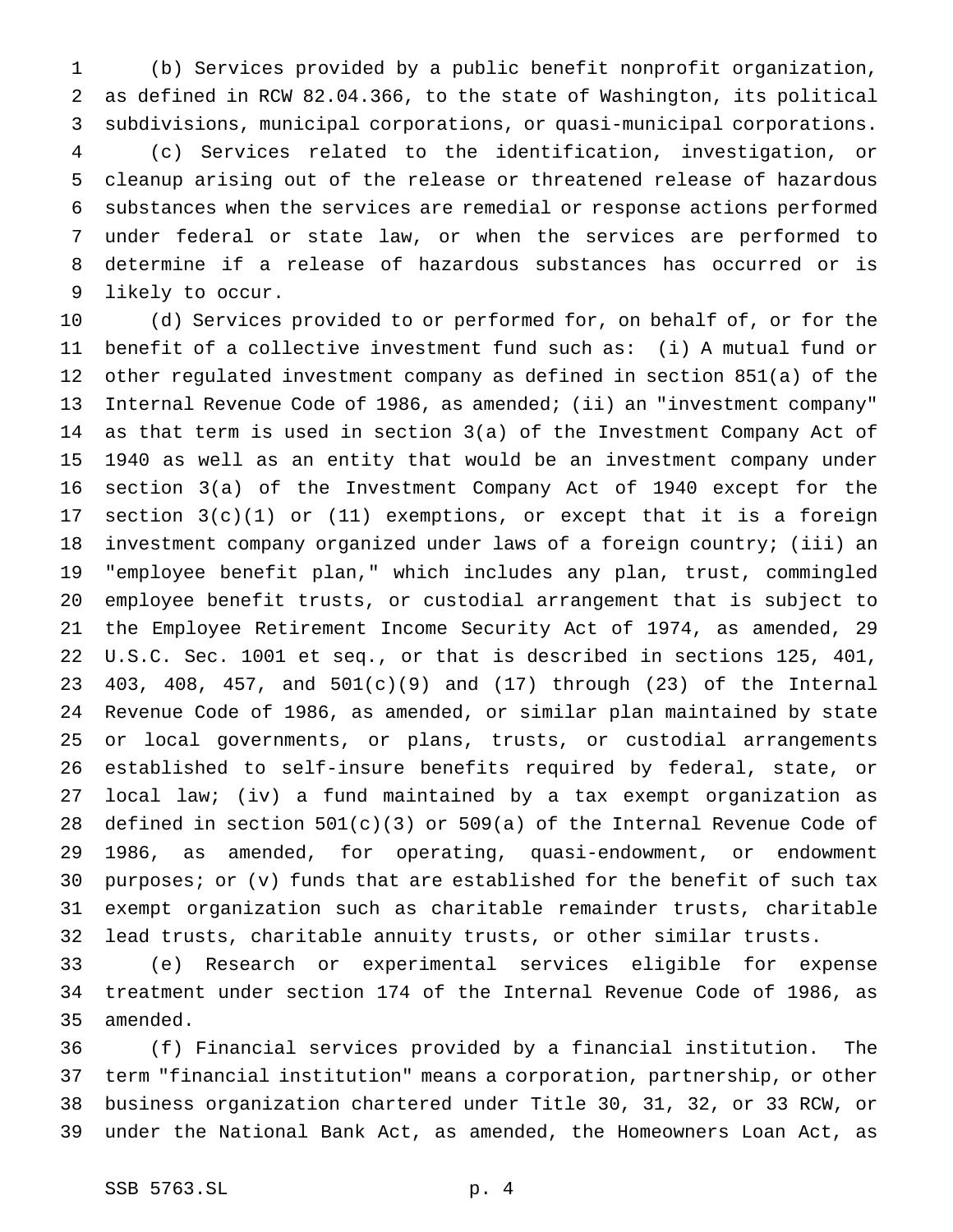(b) Services provided by a public benefit nonprofit organization, as defined in RCW 82.04.366, to the state of Washington, its political subdivisions, municipal corporations, or quasi-municipal corporations. (c) Services related to the identification, investigation, or cleanup arising out of the release or threatened release of hazardous substances when the services are remedial or response actions performed under federal or state law, or when the services are performed to determine if a release of hazardous substances has occurred or is likely to occur.

 (d) Services provided to or performed for, on behalf of, or for the benefit of a collective investment fund such as: (i) A mutual fund or other regulated investment company as defined in section 851(a) of the Internal Revenue Code of 1986, as amended; (ii) an "investment company" as that term is used in section 3(a) of the Investment Company Act of 1940 as well as an entity that would be an investment company under section 3(a) of the Investment Company Act of 1940 except for the section 3(c)(1) or (11) exemptions, or except that it is a foreign investment company organized under laws of a foreign country; (iii) an "employee benefit plan," which includes any plan, trust, commingled employee benefit trusts, or custodial arrangement that is subject to the Employee Retirement Income Security Act of 1974, as amended, 29 U.S.C. Sec. 1001 et seq., or that is described in sections 125, 401, 403, 408, 457, and 501(c)(9) and (17) through (23) of the Internal Revenue Code of 1986, as amended, or similar plan maintained by state or local governments, or plans, trusts, or custodial arrangements established to self-insure benefits required by federal, state, or local law; (iv) a fund maintained by a tax exempt organization as 28 defined in section  $501(c)(3)$  or  $509(a)$  of the Internal Revenue Code of 1986, as amended, for operating, quasi-endowment, or endowment purposes; or (v) funds that are established for the benefit of such tax exempt organization such as charitable remainder trusts, charitable lead trusts, charitable annuity trusts, or other similar trusts.

 (e) Research or experimental services eligible for expense treatment under section 174 of the Internal Revenue Code of 1986, as amended.

 (f) Financial services provided by a financial institution. The term "financial institution" means a corporation, partnership, or other business organization chartered under Title 30, 31, 32, or 33 RCW, or under the National Bank Act, as amended, the Homeowners Loan Act, as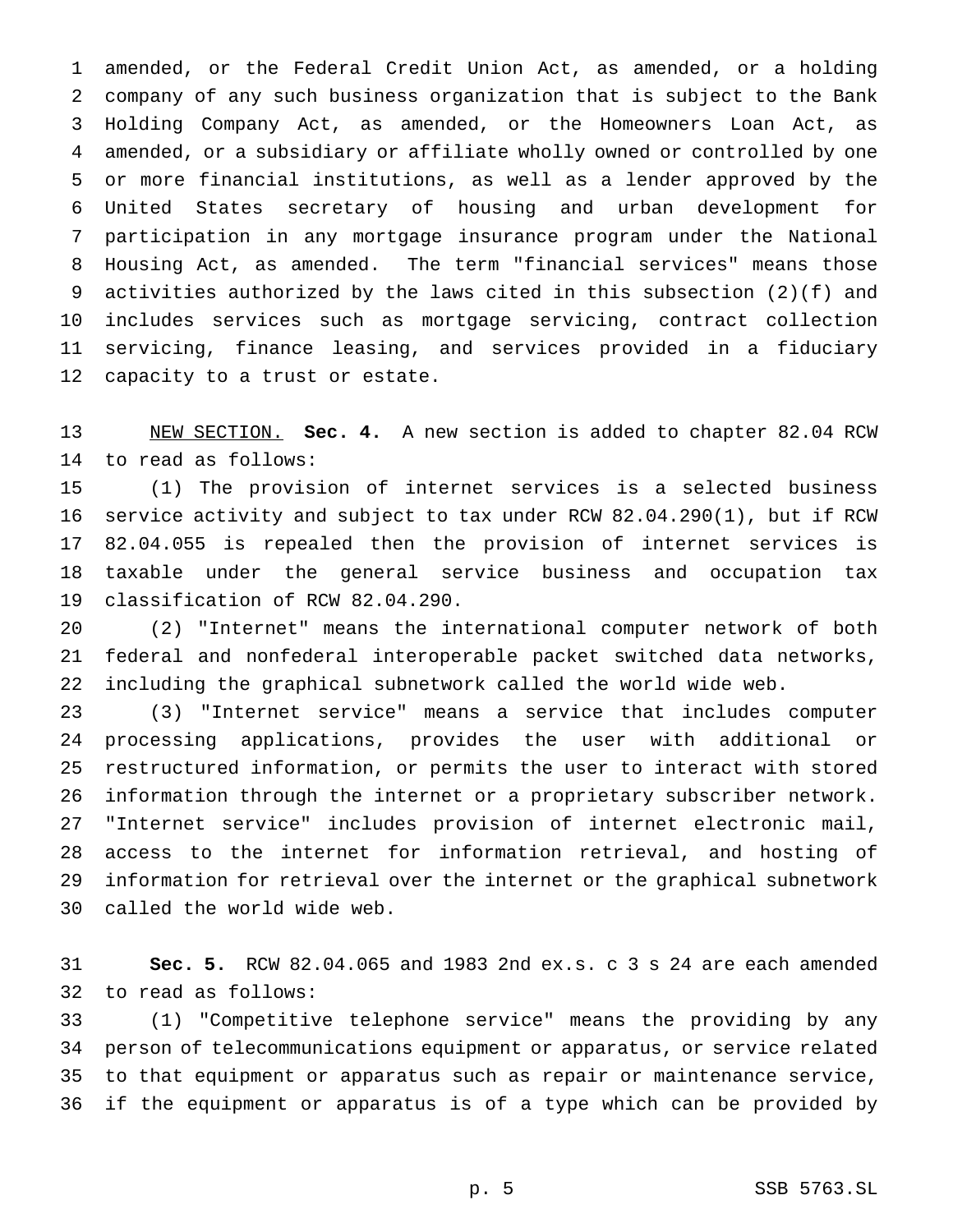amended, or the Federal Credit Union Act, as amended, or a holding company of any such business organization that is subject to the Bank Holding Company Act, as amended, or the Homeowners Loan Act, as amended, or a subsidiary or affiliate wholly owned or controlled by one or more financial institutions, as well as a lender approved by the United States secretary of housing and urban development for participation in any mortgage insurance program under the National Housing Act, as amended. The term "financial services" means those activities authorized by the laws cited in this subsection (2)(f) and includes services such as mortgage servicing, contract collection servicing, finance leasing, and services provided in a fiduciary capacity to a trust or estate.

 NEW SECTION. **Sec. 4.** A new section is added to chapter 82.04 RCW to read as follows:

 (1) The provision of internet services is a selected business service activity and subject to tax under RCW 82.04.290(1), but if RCW 82.04.055 is repealed then the provision of internet services is taxable under the general service business and occupation tax classification of RCW 82.04.290.

 (2) "Internet" means the international computer network of both federal and nonfederal interoperable packet switched data networks, including the graphical subnetwork called the world wide web.

 (3) "Internet service" means a service that includes computer processing applications, provides the user with additional or restructured information, or permits the user to interact with stored information through the internet or a proprietary subscriber network. "Internet service" includes provision of internet electronic mail, access to the internet for information retrieval, and hosting of information for retrieval over the internet or the graphical subnetwork called the world wide web.

 **Sec. 5.** RCW 82.04.065 and 1983 2nd ex.s. c 3 s 24 are each amended to read as follows:

 (1) "Competitive telephone service" means the providing by any person of telecommunications equipment or apparatus, or service related to that equipment or apparatus such as repair or maintenance service, if the equipment or apparatus is of a type which can be provided by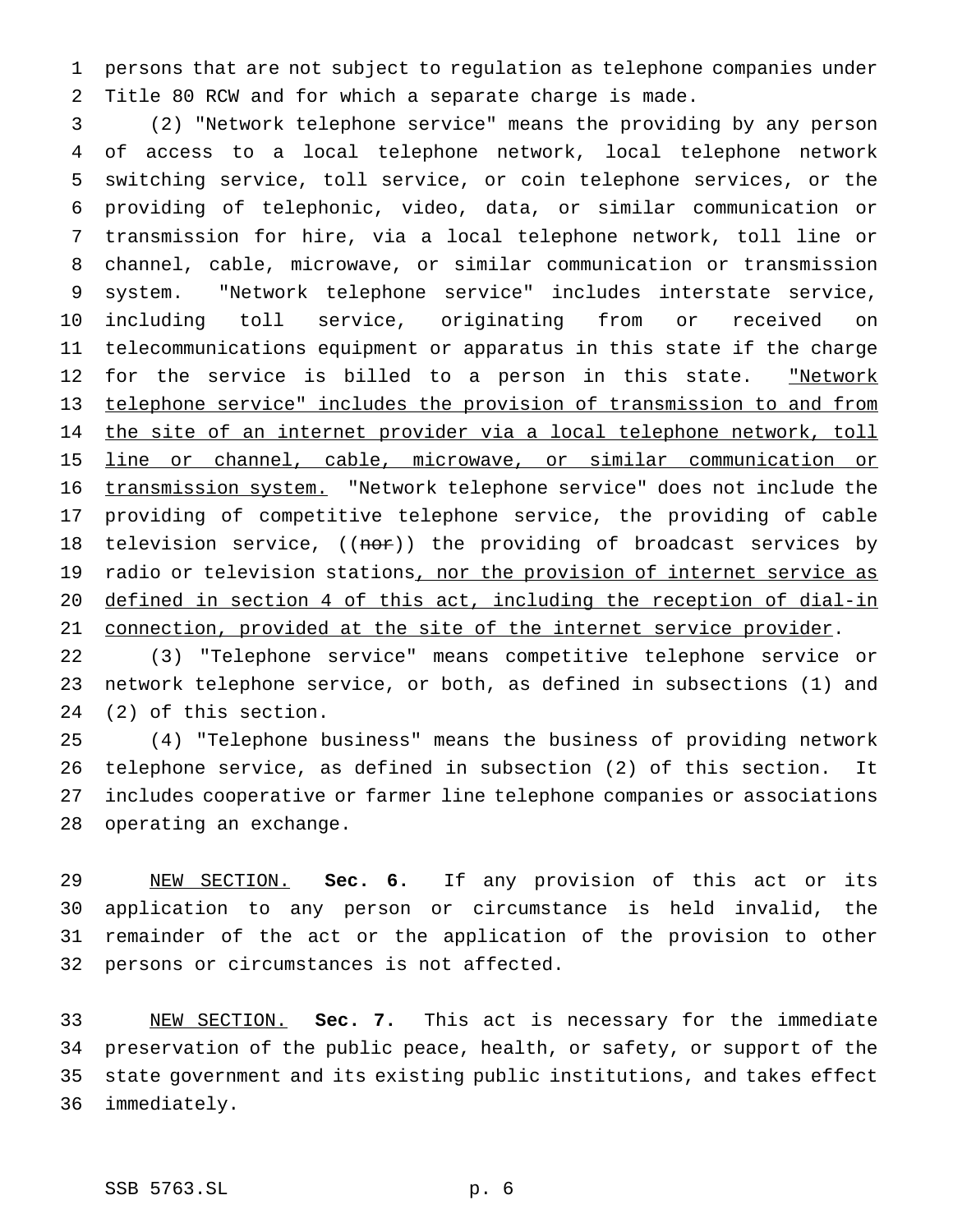persons that are not subject to regulation as telephone companies under Title 80 RCW and for which a separate charge is made.

 (2) "Network telephone service" means the providing by any person of access to a local telephone network, local telephone network switching service, toll service, or coin telephone services, or the providing of telephonic, video, data, or similar communication or transmission for hire, via a local telephone network, toll line or channel, cable, microwave, or similar communication or transmission system. "Network telephone service" includes interstate service, including toll service, originating from or received on telecommunications equipment or apparatus in this state if the charge 12 for the service is billed to a person in this state. "Network telephone service" includes the provision of transmission to and from 14 the site of an internet provider via a local telephone network, toll line or channel, cable, microwave, or similar communication or 16 transmission system. "Network telephone service" does not include the providing of competitive telephone service, the providing of cable 18 television service, ((nor)) the providing of broadcast services by 19 radio or television stations, nor the provision of internet service as defined in section 4 of this act, including the reception of dial-in 21 connection, provided at the site of the internet service provider.

 (3) "Telephone service" means competitive telephone service or network telephone service, or both, as defined in subsections (1) and (2) of this section.

 (4) "Telephone business" means the business of providing network telephone service, as defined in subsection (2) of this section. It includes cooperative or farmer line telephone companies or associations operating an exchange.

 NEW SECTION. **Sec. 6.** If any provision of this act or its application to any person or circumstance is held invalid, the remainder of the act or the application of the provision to other persons or circumstances is not affected.

 NEW SECTION. **Sec. 7.** This act is necessary for the immediate preservation of the public peace, health, or safety, or support of the state government and its existing public institutions, and takes effect immediately.